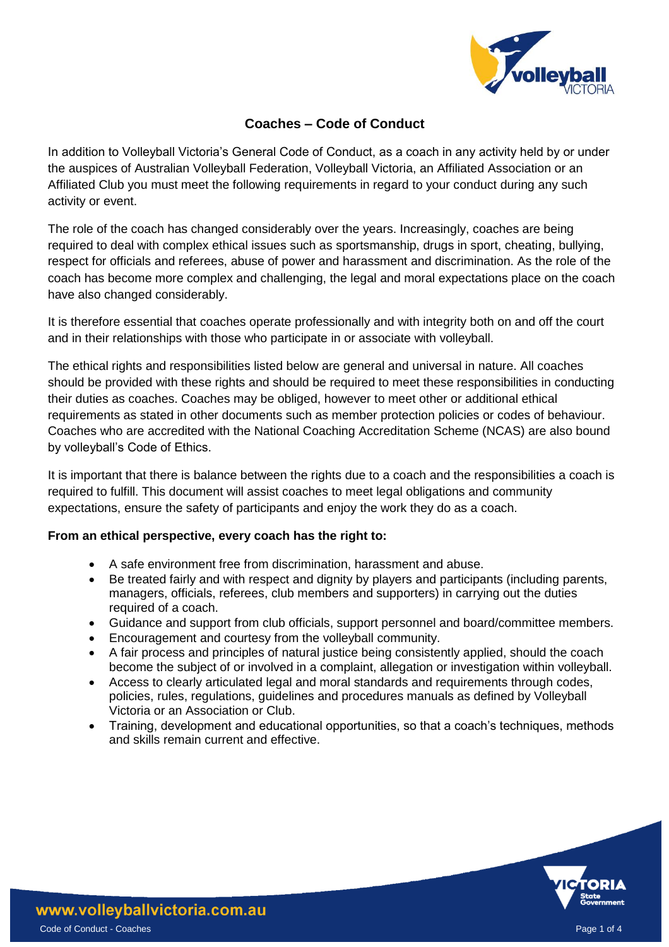

# **Coaches – Code of Conduct**

In addition to Volleyball Victoria's General Code of Conduct, as a coach in any activity held by or under the auspices of Australian Volleyball Federation, Volleyball Victoria, an Affiliated Association or an Affiliated Club you must meet the following requirements in regard to your conduct during any such activity or event.

The role of the coach has changed considerably over the years. Increasingly, coaches are being required to deal with complex ethical issues such as sportsmanship, drugs in sport, cheating, bullying, respect for officials and referees, abuse of power and harassment and discrimination. As the role of the coach has become more complex and challenging, the legal and moral expectations place on the coach have also changed considerably.

It is therefore essential that coaches operate professionally and with integrity both on and off the court and in their relationships with those who participate in or associate with volleyball.

The ethical rights and responsibilities listed below are general and universal in nature. All coaches should be provided with these rights and should be required to meet these responsibilities in conducting their duties as coaches. Coaches may be obliged, however to meet other or additional ethical requirements as stated in other documents such as member protection policies or codes of behaviour. Coaches who are accredited with the National Coaching Accreditation Scheme (NCAS) are also bound by volleyball's Code of Ethics.

It is important that there is balance between the rights due to a coach and the responsibilities a coach is required to fulfill. This document will assist coaches to meet legal obligations and community expectations, ensure the safety of participants and enjoy the work they do as a coach.

## **From an ethical perspective, every coach has the right to:**

- A safe environment free from discrimination, harassment and abuse.
- Be treated fairly and with respect and dignity by players and participants (including parents, managers, officials, referees, club members and supporters) in carrying out the duties required of a coach.
- Guidance and support from club officials, support personnel and board/committee members.
- Encouragement and courtesy from the volleyball community.
- A fair process and principles of natural justice being consistently applied, should the coach become the subject of or involved in a complaint, allegation or investigation within volleyball.
- Access to clearly articulated legal and moral standards and requirements through codes, policies, rules, regulations, guidelines and procedures manuals as defined by Volleyball Victoria or an Association or Club.
- Training, development and educational opportunities, so that a coach's techniques, methods and skills remain current and effective.

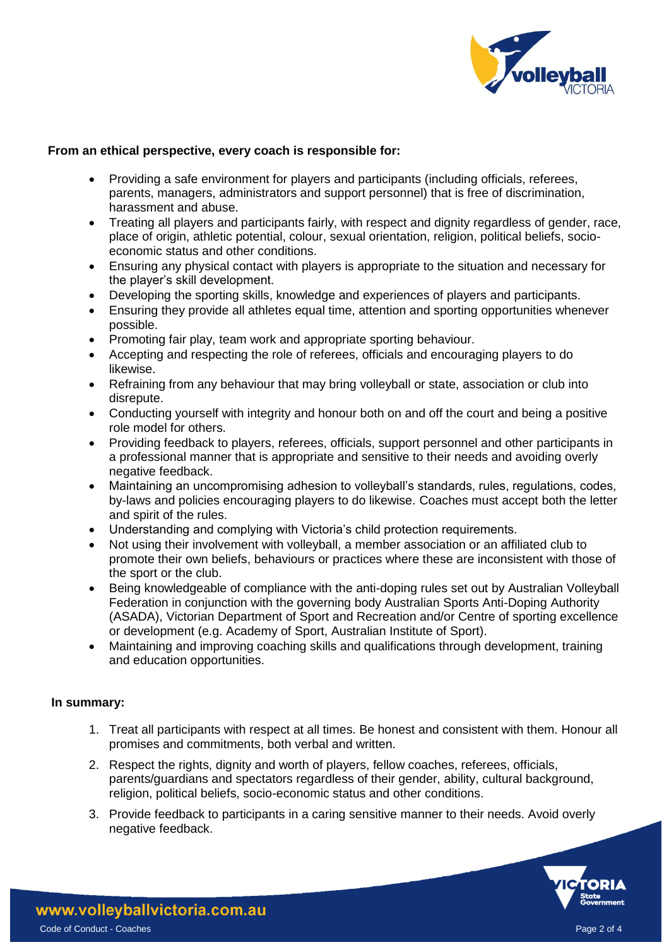

### **From an ethical perspective, every coach is responsible for:**

- Providing a safe environment for players and participants (including officials, referees, parents, managers, administrators and support personnel) that is free of discrimination, harassment and abuse.
- Treating all players and participants fairly, with respect and dignity regardless of gender, race, place of origin, athletic potential, colour, sexual orientation, religion, political beliefs, socioeconomic status and other conditions.
- Ensuring any physical contact with players is appropriate to the situation and necessary for the player's skill development.
- Developing the sporting skills, knowledge and experiences of players and participants.
- Ensuring they provide all athletes equal time, attention and sporting opportunities whenever possible.
- Promoting fair play, team work and appropriate sporting behaviour.
- Accepting and respecting the role of referees, officials and encouraging players to do likewise.
- Refraining from any behaviour that may bring volleyball or state, association or club into disrepute.
- Conducting yourself with integrity and honour both on and off the court and being a positive role model for others.
- Providing feedback to players, referees, officials, support personnel and other participants in a professional manner that is appropriate and sensitive to their needs and avoiding overly negative feedback.
- Maintaining an uncompromising adhesion to volleyball's standards, rules, regulations, codes, by-laws and policies encouraging players to do likewise. Coaches must accept both the letter and spirit of the rules.
- Understanding and complying with Victoria's child protection requirements.
- Not using their involvement with volleyball, a member association or an affiliated club to promote their own beliefs, behaviours or practices where these are inconsistent with those of the sport or the club.
- Being knowledgeable of compliance with the anti-doping rules set out by Australian Volleyball Federation in conjunction with the governing body Australian Sports Anti-Doping Authority (ASADA), Victorian Department of Sport and Recreation and/or Centre of sporting excellence or development (e.g. Academy of Sport, Australian Institute of Sport).
- Maintaining and improving coaching skills and qualifications through development, training and education opportunities.

#### **In summary:**

- 1. Treat all participants with respect at all times. Be honest and consistent with them. Honour all promises and commitments, both verbal and written.
- 2. Respect the rights, dignity and worth of players, fellow coaches, referees, officials, parents/guardians and spectators regardless of their gender, ability, cultural background, religion, political beliefs, socio-economic status and other conditions.
- 3. Provide feedback to participants in a caring sensitive manner to their needs. Avoid overly negative feedback.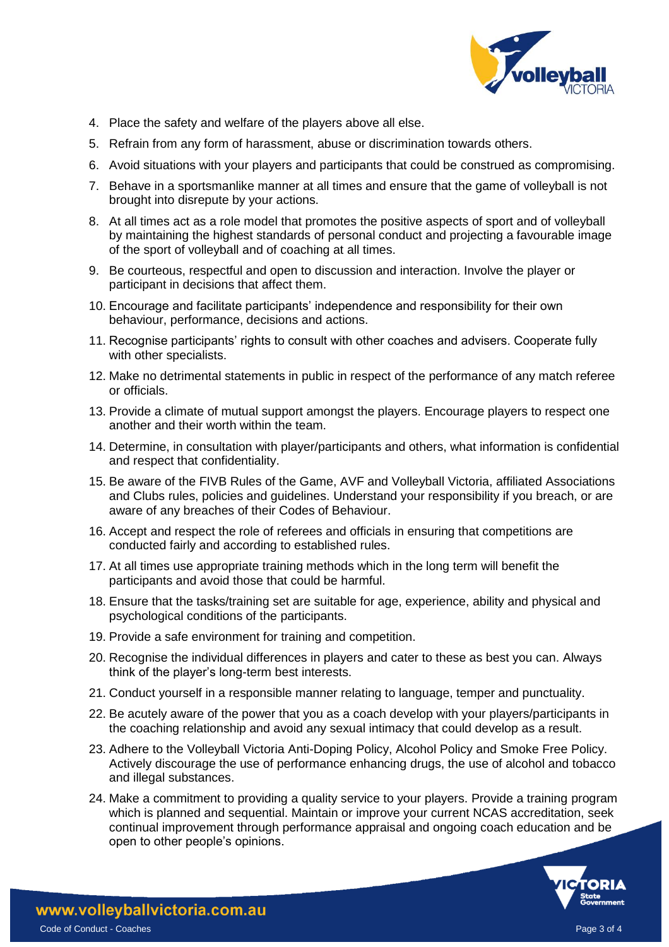

- 4. Place the safety and welfare of the players above all else.
- 5. Refrain from any form of harassment, abuse or discrimination towards others.
- 6. Avoid situations with your players and participants that could be construed as compromising.
- 7. Behave in a sportsmanlike manner at all times and ensure that the game of volleyball is not brought into disrepute by your actions.
- 8. At all times act as a role model that promotes the positive aspects of sport and of volleyball by maintaining the highest standards of personal conduct and projecting a favourable image of the sport of volleyball and of coaching at all times.
- 9. Be courteous, respectful and open to discussion and interaction. Involve the player or participant in decisions that affect them.
- 10. Encourage and facilitate participants' independence and responsibility for their own behaviour, performance, decisions and actions.
- 11. Recognise participants' rights to consult with other coaches and advisers. Cooperate fully with other specialists.
- 12. Make no detrimental statements in public in respect of the performance of any match referee or officials.
- 13. Provide a climate of mutual support amongst the players. Encourage players to respect one another and their worth within the team.
- 14. Determine, in consultation with player/participants and others, what information is confidential and respect that confidentiality.
- 15. Be aware of the FIVB Rules of the Game, AVF and Volleyball Victoria, affiliated Associations and Clubs rules, policies and guidelines. Understand your responsibility if you breach, or are aware of any breaches of their Codes of Behaviour.
- 16. Accept and respect the role of referees and officials in ensuring that competitions are conducted fairly and according to established rules.
- 17. At all times use appropriate training methods which in the long term will benefit the participants and avoid those that could be harmful.
- 18. Ensure that the tasks/training set are suitable for age, experience, ability and physical and psychological conditions of the participants.
- 19. Provide a safe environment for training and competition.
- 20. Recognise the individual differences in players and cater to these as best you can. Always think of the player's long-term best interests.
- 21. Conduct yourself in a responsible manner relating to language, temper and punctuality.
- 22. Be acutely aware of the power that you as a coach develop with your players/participants in the coaching relationship and avoid any sexual intimacy that could develop as a result.
- 23. Adhere to the Volleyball Victoria Anti-Doping Policy, Alcohol Policy and Smoke Free Policy. Actively discourage the use of performance enhancing drugs, the use of alcohol and tobacco and illegal substances.
- 24. Make a commitment to providing a quality service to your players. Provide a training program which is planned and sequential. Maintain or improve your current NCAS accreditation, seek continual improvement through performance appraisal and ongoing coach education and be open to other people's opinions.